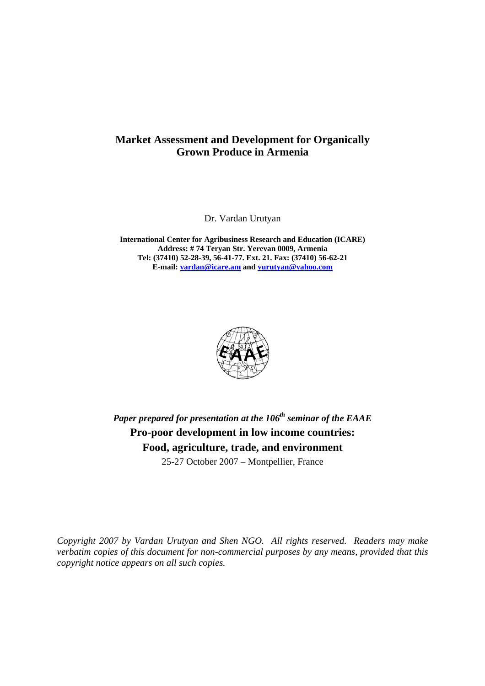# **Market Assessment and Development for Organically Grown Produce in Armenia**

Dr. Vardan Urutyan

**International Center for Agribusiness Research and Education (ICARE) Address: # 74 Teryan Str. Yerevan 0009, Armenia Tel: (37410) 52-28-39, 56-41-77. Ext. 21. Fax: (37410) 56-62-21 E-mail: vardan@icare.am and vurutyan@yahoo.com** 



*Paper prepared for presentation at the 106th seminar of the EAAE*  **Pro-poor development in low income countries: Food, agriculture, trade, and environment**  25-27 October 2007 – Montpellier, France

*Copyright 2007 by Vardan Urutyan and Shen NGO. All rights reserved. Readers may make verbatim copies of this document for non-commercial purposes by any means, provided that this copyright notice appears on all such copies.*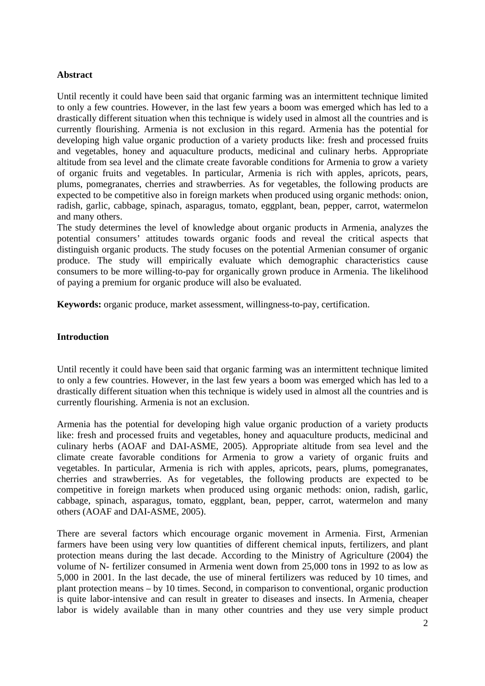## **Abstract**

Until recently it could have been said that organic farming was an intermittent technique limited to only a few countries. However, in the last few years a boom was emerged which has led to a drastically different situation when this technique is widely used in almost all the countries and is currently flourishing. Armenia is not exclusion in this regard. Armenia has the potential for developing high value organic production of a variety products like: fresh and processed fruits and vegetables, honey and aquaculture products, medicinal and culinary herbs. Appropriate altitude from sea level and the climate create favorable conditions for Armenia to grow a variety of organic fruits and vegetables. In particular, Armenia is rich with apples, apricots, pears, plums, pomegranates, cherries and strawberries. As for vegetables, the following products are expected to be competitive also in foreign markets when produced using organic methods: onion, radish, garlic, cabbage, spinach, asparagus, tomato, eggplant, bean, pepper, carrot, watermelon and many others.

The study determines the level of knowledge about organic products in Armenia, analyzes the potential consumers' attitudes towards organic foods and reveal the critical aspects that distinguish organic products. The study focuses on the potential Armenian consumer of organic produce. The study will empirically evaluate which demographic characteristics cause consumers to be more willing-to-pay for organically grown produce in Armenia. The likelihood of paying a premium for organic produce will also be evaluated.

**Keywords:** organic produce, market assessment, willingness-to-pay, certification.

## **Introduction**

Until recently it could have been said that organic farming was an intermittent technique limited to only a few countries. However, in the last few years a boom was emerged which has led to a drastically different situation when this technique is widely used in almost all the countries and is currently flourishing. Armenia is not an exclusion.

Armenia has the potential for developing high value organic production of a variety products like: fresh and processed fruits and vegetables, honey and aquaculture products, medicinal and culinary herbs (AOAF and DAI-ASME, 2005). Appropriate altitude from sea level and the climate create favorable conditions for Armenia to grow a variety of organic fruits and vegetables. In particular, Armenia is rich with apples, apricots, pears, plums, pomegranates, cherries and strawberries. As for vegetables, the following products are expected to be competitive in foreign markets when produced using organic methods: onion, radish, garlic, cabbage, spinach, asparagus, tomato, eggplant, bean, pepper, carrot, watermelon and many others (AOAF and DAI-ASME, 2005).

There are several factors which encourage organic movement in Armenia. First, Armenian farmers have been using very low quantities of different chemical inputs, fertilizers, and plant protection means during the last decade. According to the Ministry of Agriculture (2004) the volume of N- fertilizer consumed in Armenia went down from 25,000 tons in 1992 to as low as 5,000 in 2001. In the last decade, the use of mineral fertilizers was reduced by 10 times, and plant protection means – by 10 times. Second, in comparison to conventional, organic production is quite labor-intensive and can result in greater to diseases and insects. In Armenia, cheaper labor is widely available than in many other countries and they use very simple product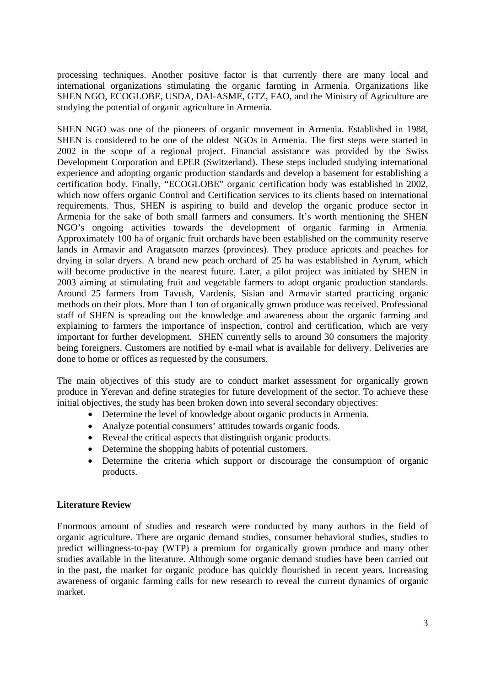processing techniques. Another positive factor is that currently there are many local and international organizations stimulating the organic farming in Armenia. Organizations like SHEN NGO, ECOGLOBE, USDA, DAI-ASME, GTZ, FAO, and the Ministry of Agriculture are studying the potential of organic agriculture in Armenia.

SHEN NGO was one of the pioneers of organic movement in Armenia. Established in 1988, SHEN is considered to be one of the oldest NGOs in Armenia. The first steps were started in 2002 in the scope of a regional project. Financial assistance was provided by the Swiss Development Corporation and EPER (Switzerland). These steps included studying international experience and adopting organic production standards and develop a basement for establishing a certification body. Finally, "ECOGLOBE" organic certification body was established in 2002, which now offers organic Control and Certification services to its clients based on international requirements. Thus, SHEN is aspiring to build and develop the organic produce sector in Armenia for the sake of both small farmers and consumers. It's worth mentioning the SHEN NGO's ongoing activities towards the development of organic farming in Armenia. Approximately 100 ha of organic fruit orchards have been established on the community reserve lands in Armavir and Aragatsotn marzes (provinces). They produce apricots and peaches for drying in solar dryers. A brand new peach orchard of 25 ha was established in Ayrum, which will become productive in the nearest future. Later, a pilot project was initiated by SHEN in 2003 aiming at stimulating fruit and vegetable farmers to adopt organic production standards. Around 25 farmers from Tavush, Vardenis, Sisian and Armavir started practicing organic methods on their plots. More than 1 ton of organically grown produce was received. Professional staff of SHEN is spreading out the knowledge and awareness about the organic farming and explaining to farmers the importance of inspection, control and certification, which are very important for further development. SHEN currently sells to around 30 consumers the majority being foreigners. Customers are notified by e-mail what is available for delivery. Deliveries are done to home or offices as requested by the consumers.

The main objectives of this study are to conduct market assessment for organically grown produce in Yerevan and define strategies for future development of the sector. To achieve these initial objectives, the study has been broken down into several secondary objectives:

- Determine the level of knowledge about organic products in Armenia.
- Analyze potential consumers' attitudes towards organic foods.
- Reveal the critical aspects that distinguish organic products.
- Determine the shopping habits of potential customers.
- Determine the criteria which support or discourage the consumption of organic products.

## **Literature Review**

Enormous amount of studies and research were conducted by many authors in the field of organic agriculture. There are organic demand studies, consumer behavioral studies, studies to predict willingness-to-pay (WTP) a premium for organically grown produce and many other studies available in the literature. Although some organic demand studies have been carried out in the past, the market for organic produce has quickly flourished in recent years. Increasing awareness of organic farming calls for new research to reveal the current dynamics of organic market.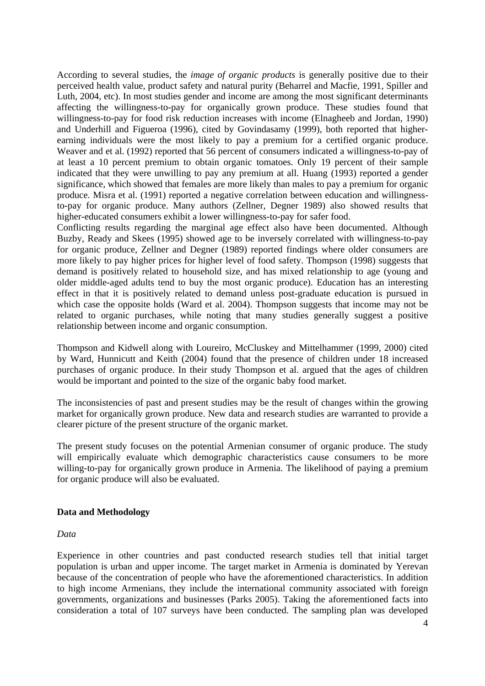According to several studies, the *image of organic products* is generally positive due to their perceived health value, product safety and natural purity (Beharrel and Macfie, 1991, Spiller and Luth, 2004, etc). In most studies gender and income are among the most significant determinants affecting the willingness-to-pay for organically grown produce. These studies found that willingness-to-pay for food risk reduction increases with income (Elnagheeb and Jordan, 1990) and Underhill and Figueroa (1996), cited by Govindasamy (1999), both reported that higherearning individuals were the most likely to pay a premium for a certified organic produce. Weaver and et al. (1992) reported that 56 percent of consumers indicated a willingness-to-pay of at least a 10 percent premium to obtain organic tomatoes. Only 19 percent of their sample indicated that they were unwilling to pay any premium at all. Huang (1993) reported a gender significance, which showed that females are more likely than males to pay a premium for organic produce. Misra et al. (1991) reported a negative correlation between education and willingnessto-pay for organic produce. Many authors (Zellner, Degner 1989) also showed results that higher-educated consumers exhibit a lower willingness-to-pay for safer food.

Conflicting results regarding the marginal age effect also have been documented. Although Buzby, Ready and Skees (1995) showed age to be inversely correlated with willingness-to-pay for organic produce, Zellner and Degner (1989) reported findings where older consumers are more likely to pay higher prices for higher level of food safety. Thompson (1998) suggests that demand is positively related to household size, and has mixed relationship to age (young and older middle-aged adults tend to buy the most organic produce). Education has an interesting effect in that it is positively related to demand unless post-graduate education is pursued in which case the opposite holds (Ward et al. 2004). Thompson suggests that income may not be related to organic purchases, while noting that many studies generally suggest a positive relationship between income and organic consumption.

Thompson and Kidwell along with Loureiro, McCluskey and Mittelhammer (1999, 2000) cited by Ward, Hunnicutt and Keith (2004) found that the presence of children under 18 increased purchases of organic produce. In their study Thompson et al. argued that the ages of children would be important and pointed to the size of the organic baby food market.

The inconsistencies of past and present studies may be the result of changes within the growing market for organically grown produce. New data and research studies are warranted to provide a clearer picture of the present structure of the organic market.

The present study focuses on the potential Armenian consumer of organic produce. The study will empirically evaluate which demographic characteristics cause consumers to be more willing-to-pay for organically grown produce in Armenia. The likelihood of paying a premium for organic produce will also be evaluated.

## **Data and Methodology**

## *Data*

Experience in other countries and past conducted research studies tell that initial target population is urban and upper income. The target market in Armenia is dominated by Yerevan because of the concentration of people who have the aforementioned characteristics. In addition to high income Armenians, they include the international community associated with foreign governments, organizations and businesses (Parks 2005). Taking the aforementioned facts into consideration a total of 107 surveys have been conducted. The sampling plan was developed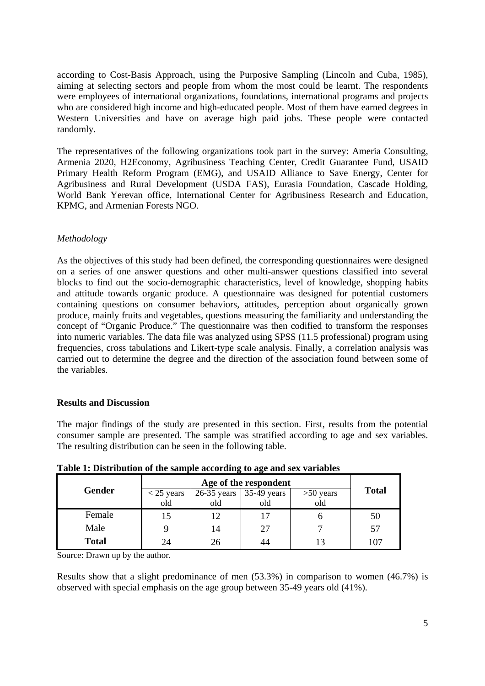according to Cost-Basis Approach, using the Purposive Sampling (Lincoln and Cuba, 1985), aiming at selecting sectors and people from whom the most could be learnt. The respondents were employees of international organizations, foundations, international programs and projects who are considered high income and high-educated people. Most of them have earned degrees in Western Universities and have on average high paid jobs. These people were contacted randomly.

The representatives of the following organizations took part in the survey: Ameria Consulting, Armenia 2020, H2Economy, Agribusiness Teaching Center, Credit Guarantee Fund, USAID Primary Health Reform Program (EMG), and USAID Alliance to Save Energy, Center for Agribusiness and Rural Development (USDA FAS), Eurasia Foundation, Cascade Holding, World Bank Yerevan office, International Center for Agribusiness Research and Education, KPMG, and Armenian Forests NGO.

# *Methodology*

As the objectives of this study had been defined, the corresponding questionnaires were designed on a series of one answer questions and other multi-answer questions classified into several blocks to find out the socio-demographic characteristics, level of knowledge, shopping habits and attitude towards organic produce. A questionnaire was designed for potential customers containing questions on consumer behaviors, attitudes, perception about organically grown produce, mainly fruits and vegetables, questions measuring the familiarity and understanding the concept of "Organic Produce." The questionnaire was then codified to transform the responses into numeric variables. The data file was analyzed using SPSS (11.5 professional) program using frequencies, cross tabulations and Likert-type scale analysis. Finally, a correlation analysis was carried out to determine the degree and the direction of the association found between some of the variables.

## **Results and Discussion**

The major findings of the study are presented in this section. First, results from the potential consumer sample are presented. The sample was stratified according to age and sex variables. The resulting distribution can be seen in the following table.

|              | Age of the respondent |                      |                    |                    |              |
|--------------|-----------------------|----------------------|--------------------|--------------------|--------------|
| Gender       | $<$ 25 years<br>old   | $26-35$ years<br>old | 35-49 years<br>old | $>50$ years<br>old | <b>Total</b> |
| Female       | 15                    | 12                   |                    |                    | 5Ü           |
| Male         |                       | 14                   | 27                 |                    |              |
| <b>Total</b> | 24                    | 26                   |                    |                    |              |

**Table 1: Distribution of the sample according to age and sex variables** 

Source: Drawn up by the author.

Results show that a slight predominance of men (53.3%) in comparison to women (46.7%) is observed with special emphasis on the age group between 35-49 years old (41%).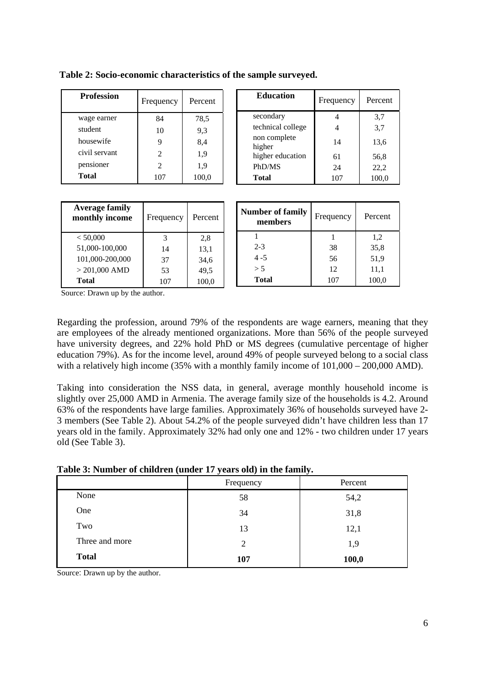| <b>Profession</b> | Frequency                   | Percent |
|-------------------|-----------------------------|---------|
| wage earner       | 84                          | 78,5    |
| student           | 10                          | 9,3     |
| housewife         |                             | 8,4     |
| civil servant     | $\mathfrak{D}$              | 1,9     |
| pensioner         | $\mathcal{D}_{\mathcal{L}}$ | 1,9     |
| <b>Total</b>      | 107                         | 100,0   |

|                        | $1 - 1 - 1 - 1 - 1 = 0$ |       |
|------------------------|-------------------------|-------|
| secondary              |                         | 3,7   |
| technical college      |                         | 3,7   |
| non complete<br>higher | 14                      | 13,6  |
| higher education       | 61                      | 56,8  |
| PhD/MS                 | 24                      | 22,2  |
| <b>Total</b>           | 107                     | 100,0 |
|                        |                         |       |

**Education Frequency** Percent

| <b>Average family</b><br>monthly income | Frequency | Percent |
|-----------------------------------------|-----------|---------|
| < 50,000                                | 3         | 2.8     |
| 51,000-100,000                          | 14        | 13,1    |
| 101,000-200,000                         | 37        | 34,6    |
| $> 201,000$ AMD                         | 53        | 49.5    |
| <b>Total</b>                            |           | 100.0   |

| <b>Number of family</b><br>members | Frequency | Percent |
|------------------------------------|-----------|---------|
|                                    |           | 1,2     |
| $2 - 3$                            | 38        | 35,8    |
| $4 - 5$                            | 56        | 51,9    |
| > 5                                | 12        | 11,1    |
| <b>Total</b>                       | 107       | 100,0   |

Source: Drawn up by the author.

Regarding the profession, around 79% of the respondents are wage earners, meaning that they are employees of the already mentioned organizations. More than 56% of the people surveyed have university degrees, and 22% hold PhD or MS degrees (cumulative percentage of higher education 79%). As for the income level, around 49% of people surveyed belong to a social class with a relatively high income (35% with a monthly family income of  $101,000 - 200,000$  AMD).

Taking into consideration the NSS data, in general, average monthly household income is slightly over 25,000 AMD in Armenia. The average family size of the households is 4.2. Around 63% of the respondents have large families. Approximately 36% of households surveyed have 2- 3 members (See Table 2). About 54.2% of the people surveyed didn't have children less than 17 years old in the family. Approximately 32% had only one and 12% - two children under 17 years old (See Table 3).

|                | ヽ<br>$\overline{ }$<br>Frequency | $\cdot$<br>Percent |
|----------------|----------------------------------|--------------------|
| None           | 58                               | 54,2               |
| One            | 34                               | 31,8               |
| Two            | 13                               | 12,1               |
| Three and more | 2                                | 1,9                |
| <b>Total</b>   | 107                              | 100,0              |

**Table 3: Number of children (under 17 years old) in the family.**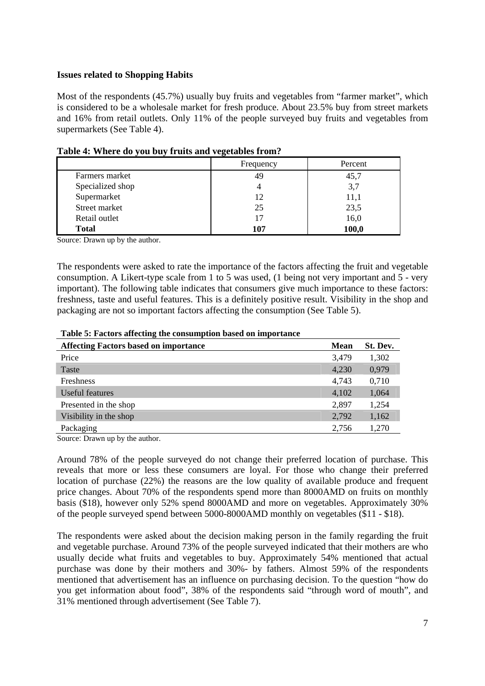## **Issues related to Shopping Habits**

Most of the respondents (45.7%) usually buy fruits and vegetables from "farmer market", which is considered to be a wholesale market for fresh produce. About 23.5% buy from street markets and 16% from retail outlets. Only 11% of the people surveyed buy fruits and vegetables from supermarkets (See Table 4).

|                  | Frequency | Percent |
|------------------|-----------|---------|
| Farmers market   | 49        | 45,7    |
| Specialized shop |           | 3,7     |
| Supermarket      | 12        | 11,1    |
| Street market    | 25        | 23,5    |
| Retail outlet    | 17        | 16,0    |
| <b>Total</b>     | 107       | 100,0   |

#### **Table 4: Where do you buy fruits and vegetables from?**

Source: Drawn up by the author.

The respondents were asked to rate the importance of the factors affecting the fruit and vegetable consumption. A Likert-type scale from 1 to 5 was used, (1 being not very important and 5 - very important). The following table indicates that consumers give much importance to these factors: freshness, taste and useful features. This is a definitely positive result. Visibility in the shop and packaging are not so important factors affecting the consumption (See Table 5).

| <b>Affecting Factors based on importance</b> | <b>Mean</b> | St. Dev. |
|----------------------------------------------|-------------|----------|
| Price                                        | 3,479       | 1,302    |
| Taste                                        | 4,230       | 0,979    |
| Freshness                                    | 4,743       | 0,710    |
| Useful features                              | 4,102       | 1,064    |
| Presented in the shop                        | 2,897       | 1,254    |
| Visibility in the shop                       | 2,792       | 1,162    |
| Packaging                                    | 2,756       | 1,270    |

Source: Drawn up by the author.

Around 78% of the people surveyed do not change their preferred location of purchase. This reveals that more or less these consumers are loyal. For those who change their preferred location of purchase (22%) the reasons are the low quality of available produce and frequent price changes. About 70% of the respondents spend more than 8000AMD on fruits on monthly basis (\$18), however only 52% spend 8000AMD and more on vegetables. Approximately 30% of the people surveyed spend between 5000-8000AMD monthly on vegetables (\$11 - \$18).

The respondents were asked about the decision making person in the family regarding the fruit and vegetable purchase. Around 73% of the people surveyed indicated that their mothers are who usually decide what fruits and vegetables to buy. Approximately 54% mentioned that actual purchase was done by their mothers and 30%- by fathers. Almost 59% of the respondents mentioned that advertisement has an influence on purchasing decision. To the question "how do you get information about food", 38% of the respondents said "through word of mouth", and 31% mentioned through advertisement (See Table 7).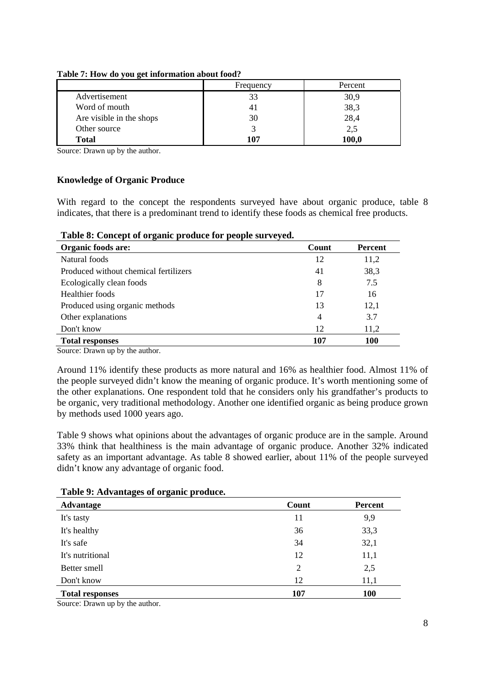|                          | Frequency      | Percent     |
|--------------------------|----------------|-------------|
| Advertisement            | 33             | 30,9        |
| Word of mouth            | 4 <sub>1</sub> | 38,3        |
| Are visible in the shops | 30             | 28,4        |
| Other source             |                | 2,5         |
| Total                    | 107            | <b>00.0</b> |

#### **Table 7: How do you get information about food?**

Source: Drawn up by the author.

#### **Knowledge of Organic Produce**

With regard to the concept the respondents surveyed have about organic produce, table 8 indicates, that there is a predominant trend to identify these foods as chemical free products.

| Organic foods are:                    | Count          | <b>Percent</b> |
|---------------------------------------|----------------|----------------|
| Natural foods                         | 12             | 11,2           |
| Produced without chemical fertilizers | 41             | 38,3           |
| Ecologically clean foods              | 8              | 7.5            |
| Healthier foods                       | 17             | 16             |
| Produced using organic methods        | 13             | 12,1           |
| Other explanations                    | $\overline{4}$ | 3.7            |
| Don't know                            | 12             | 11,2           |
| <b>Total responses</b>                | 107            | <b>100</b>     |

Source: Drawn up by the author.

Around 11% identify these products as more natural and 16% as healthier food. Almost 11% of the people surveyed didn't know the meaning of organic produce. It's worth mentioning some of the other explanations. One respondent told that he considers only his grandfather's products to be organic, very traditional methodology. Another one identified organic as being produce grown by methods used 1000 years ago.

Table 9 shows what opinions about the advantages of organic produce are in the sample. Around 33% think that healthiness is the main advantage of organic produce. Another 32% indicated safety as an important advantage. As table 8 showed earlier, about 11% of the people surveyed didn't know any advantage of organic food.

| ັ<br>ັ<br>Advantage    | Count          | <b>Percent</b> |
|------------------------|----------------|----------------|
| It's tasty             | 11             | 9,9            |
| It's healthy           | 36             | 33,3           |
| It's safe              | 34             | 32,1           |
| It's nutritional       | 12             | 11,1           |
| Better smell           | $\overline{2}$ | 2,5            |
| Don't know             | 12             | 11,1           |
| <b>Total responses</b> | 107            | <b>100</b>     |

#### **Table 9: Advantages of organic produce.**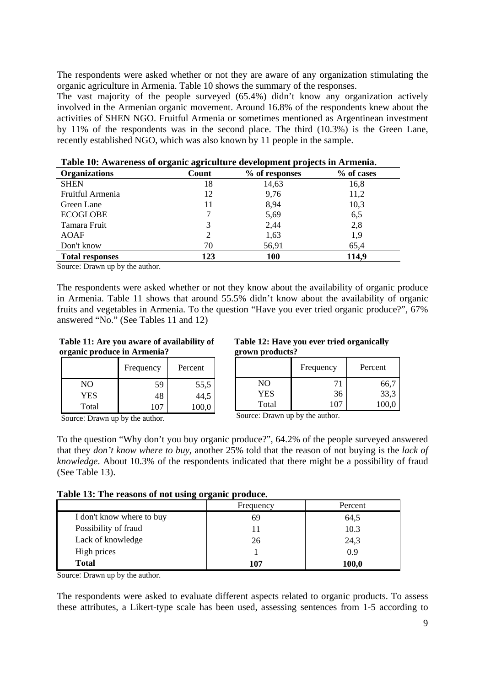The respondents were asked whether or not they are aware of any organization stimulating the organic agriculture in Armenia. Table 10 shows the summary of the responses.

The vast majority of the people surveyed (65.4%) didn't know any organization actively involved in the Armenian organic movement. Around 16.8% of the respondents knew about the activities of SHEN NGO. Fruitful Armenia or sometimes mentioned as Argentinean investment by 11% of the respondents was in the second place. The third (10.3%) is the Green Lane, recently established NGO, which was also known by 11 people in the sample.

| <b>Organizations</b>   | ້<br>ັ<br>Count | . .<br>% of responses | % of cases |
|------------------------|-----------------|-----------------------|------------|
| <b>SHEN</b>            | 18              | 14,63                 | 16,8       |
| Fruitful Armenia       | 12              | 9,76                  | 11,2       |
| Green Lane             | 11              | 8,94                  | 10,3       |
| <b>ECOGLOBE</b>        |                 | 5,69                  | 6,5        |
| Tamara Fruit           | 3               | 2,44                  | 2,8        |
| <b>AOAF</b>            |                 | 1,63                  | 1,9        |
| Don't know             | 70              | 56,91                 | 65,4       |
| <b>Total responses</b> | 123             | <b>100</b>            | 114,9      |

**Table 10: Awareness of organic agriculture development projects in Armenia.** 

Source: Drawn up by the author.

The respondents were asked whether or not they know about the availability of organic produce in Armenia. Table 11 shows that around 55.5% didn't know about the availability of organic fruits and vegetables in Armenia. To the question "Have you ever tried organic produce?", 67% answered "No." (See Tables 11 and 12)

 **Table 11: Are you aware of availability of organic produce in Armenia?** 

|            | Frequency | Percent |
|------------|-----------|---------|
| NO         | 59        | 55,5    |
| <b>YES</b> | 48        | 44,5    |
| Total      | 107       | 100.0   |

Source: Drawn up by the author.

 **Table 12: Have you ever tried organically grown products?** 

|            | Frequency | Percent |
|------------|-----------|---------|
| NО         |           | 66.     |
| <b>YES</b> | 36        | 33,3    |
| Total      |           |         |

Source: Drawn up by the author.

To the question "Why don't you buy organic produce?", 64.2% of the people surveyed answered that they *don't know where to buy*, another 25% told that the reason of not buying is the *lack of knowledge*. About 10.3% of the respondents indicated that there might be a possibility of fraud (See Table 13).

| Table 13: The reasons of not using organic produce. |  |  |
|-----------------------------------------------------|--|--|

|                           | Frequency | Percent |
|---------------------------|-----------|---------|
| I don't know where to buy | 69        | 64,5    |
| Possibility of fraud      |           | 10.3    |
| Lack of knowledge         | 26        | 24,3    |
| High prices               |           | 0.9     |
| <b>Total</b>              | 107       | 100,0   |

Source: Drawn up by the author.

The respondents were asked to evaluate different aspects related to organic products. To assess these attributes, a Likert-type scale has been used, assessing sentences from 1-5 according to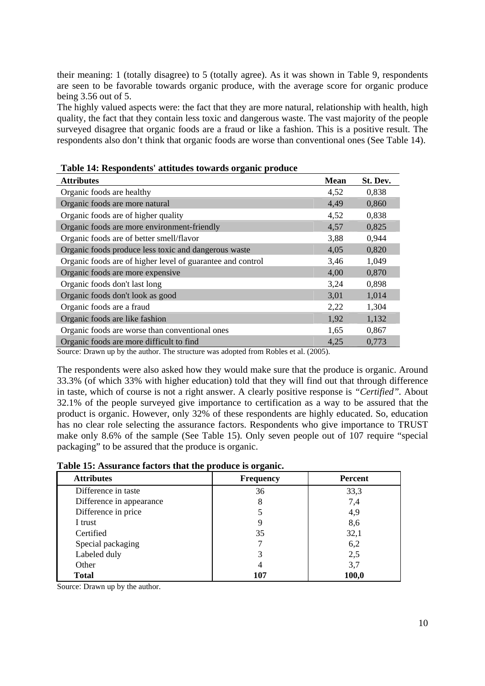their meaning: 1 (totally disagree) to 5 (totally agree). As it was shown in Table 9, respondents are seen to be favorable towards organic produce, with the average score for organic produce being 3.56 out of 5.

The highly valued aspects were: the fact that they are more natural, relationship with health, high quality, the fact that they contain less toxic and dangerous waste. The vast majority of the people surveyed disagree that organic foods are a fraud or like a fashion. This is a positive result. The respondents also don't think that organic foods are worse than conventional ones (See Table 14).

| <b>Attributes</b>                                          | <b>Mean</b> | St. Dev. |
|------------------------------------------------------------|-------------|----------|
| Organic foods are healthy                                  | 4,52        | 0,838    |
| Organic foods are more natural                             | 4,49        | 0,860    |
| Organic foods are of higher quality                        | 4,52        | 0,838    |
| Organic foods are more environment-friendly                | 4,57        | 0,825    |
| Organic foods are of better smell/flavor                   | 3,88        | 0,944    |
| Organic foods produce less toxic and dangerous waste       | 4,05        | 0,820    |
| Organic foods are of higher level of guarantee and control | 3,46        | 1,049    |
| Organic foods are more expensive                           | 4,00        | 0,870    |
| Organic foods don't last long                              | 3,24        | 0,898    |
| Organic foods don't look as good                           | 3,01        | 1,014    |
| Organic foods are a fraud                                  | 2,22        | 1,304    |
| Organic foods are like fashion                             | 1,92        | 1,132    |
| Organic foods are worse than conventional ones             | 1,65        | 0,867    |
| Organic foods are more difficult to find                   | 4,25        | 0,773    |

**Table 14: Respondents' attitudes towards organic produce** 

Source: Drawn up by the author. The structure was adopted from Robles et al. (2005).

The respondents were also asked how they would make sure that the produce is organic. Around 33.3% (of which 33% with higher education) told that they will find out that through difference in taste, which of course is not a right answer. A clearly positive response is *"Certified".* About 32.1% of the people surveyed give importance to certification as a way to be assured that the product is organic. However, only 32% of these respondents are highly educated. So, education has no clear role selecting the assurance factors. Respondents who give importance to TRUST make only 8.6% of the sample (See Table 15). Only seven people out of 107 require "special packaging" to be assured that the produce is organic.

| <b>Attributes</b>        | <b>Frequency</b> | <b>Percent</b> |
|--------------------------|------------------|----------------|
| Difference in taste      | 36               | 33,3           |
| Difference in appearance | 8                | 7,4            |
| Difference in price      |                  | 4,9            |
| I trust                  | 9                | 8,6            |
| Certified                | 35               | 32,1           |
| Special packaging        |                  | 6,2            |
| Labeled duly             | 3                | 2,5            |
| Other                    | 4                | 3,7            |
| <b>Total</b>             | 107              | 100,0          |

**Table 15: Assurance factors that the produce is organic.**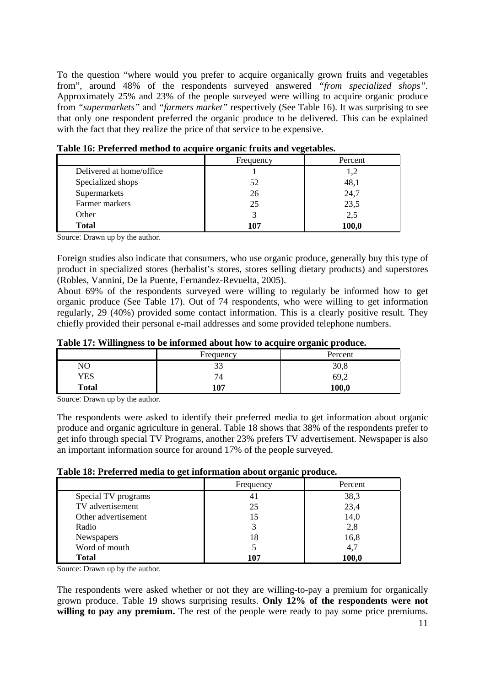To the question "where would you prefer to acquire organically grown fruits and vegetables from", around 48% of the respondents surveyed answered *"from specialized shops".*  Approximately 25% and 23% of the people surveyed were willing to acquire organic produce from *"supermarkets"* and *"farmers market"* respectively (See Table 16). It was surprising to see that only one respondent preferred the organic produce to be delivered. This can be explained with the fact that they realize the price of that service to be expensive.

|                          | Frequency | Percent |
|--------------------------|-----------|---------|
| Delivered at home/office |           | 1.2     |
| Specialized shops        | 52        | 48,1    |
| Supermarkets             | 26        | 24,7    |
| Farmer markets           | 25        | 23,5    |
| Other                    |           | 2,5     |
| <b>Total</b>             | 107       | 100,0   |

**Table 16: Preferred method to acquire organic fruits and vegetables.** 

Source: Drawn up by the author.

Foreign studies also indicate that consumers, who use organic produce, generally buy this type of product in specialized stores (herbalist's stores, stores selling dietary products) and superstores (Robles, Vannini, De la Puente, Fernandez-Revuelta, 2005).

About 69% of the respondents surveyed were willing to regularly be informed how to get organic produce (See Table 17). Out of 74 respondents, who were willing to get information regularly, 29 (40%) provided some contact information. This is a clearly positive result. They chiefly provided their personal e-mail addresses and some provided telephone numbers.

| Table 17: Willingness to be informed about how to acquire organic produce. |  |
|----------------------------------------------------------------------------|--|
|----------------------------------------------------------------------------|--|

|              |           | __      |
|--------------|-----------|---------|
|              | Frequency | Percent |
| NO           | ົ<br>ر ر  | 30,8    |
| YES          | 74        | 69,2    |
| <b>Total</b> | 107       | 100,0   |
| --<br>$\sim$ |           |         |

Source: Drawn up by the author.

The respondents were asked to identify their preferred media to get information about organic produce and organic agriculture in general. Table 18 shows that 38% of the respondents prefer to get info through special TV Programs, another 23% prefers TV advertisement. Newspaper is also an important information source for around 17% of the people surveyed.

## **Table 18: Preferred media to get information about organic produce.**

| . .                 |                |         |
|---------------------|----------------|---------|
|                     | Frequency      | Percent |
| Special TV programs | 4 <sub>1</sub> | 38,3    |
| TV advertisement    | 25             | 23,4    |
| Other advertisement | 15             | 14,0    |
| Radio               |                | 2,8     |
| Newspapers          | 18             | 16,8    |
| Word of mouth       |                | 4,7     |
| <b>Total</b>        | 107            | 100,0   |

Source: Drawn up by the author.

The respondents were asked whether or not they are willing-to-pay a premium for organically grown produce. Table 19 shows surprising results. **Only 12% of the respondents were not**  willing to pay any premium. The rest of the people were ready to pay some price premiums.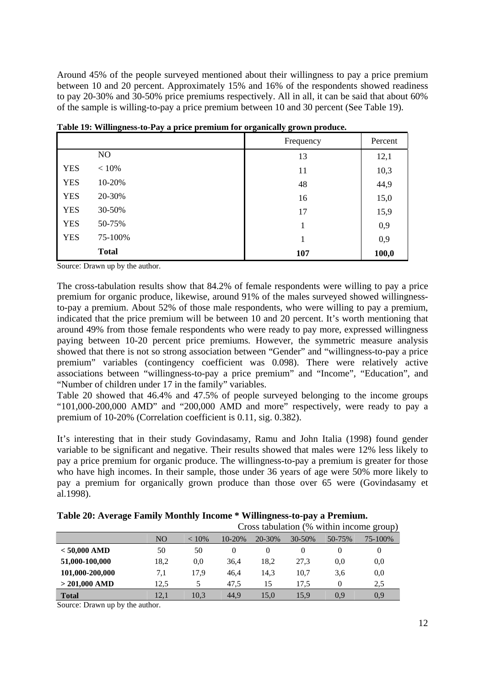Around 45% of the people surveyed mentioned about their willingness to pay a price premium between 10 and 20 percent. Approximately 15% and 16% of the respondents showed readiness to pay 20-30% and 30-50% price premiums respectively. All in all, it can be said that about 60% of the sample is willing-to-pay a price premium between 10 and 30 percent (See Table 19).

|            |              | Frequency | Percent |
|------------|--------------|-----------|---------|
|            | NO.          | 13        | 12,1    |
| <b>YES</b> | $< 10\%$     | 11        | 10,3    |
| <b>YES</b> | 10-20%       | 48        | 44,9    |
| <b>YES</b> | 20-30%       | 16        | 15,0    |
| <b>YES</b> | 30-50%       | 17        | 15,9    |
| <b>YES</b> | 50-75%       | 1         | 0,9     |
| <b>YES</b> | 75-100%      | 1         | 0,9     |
|            | <b>Total</b> | 107       | 100,0   |

**Table 19: Willingness-to-Pay a price premium for organically grown produce.** 

Source: Drawn up by the author.

The cross-tabulation results show that 84.2% of female respondents were willing to pay a price premium for organic produce, likewise, around 91% of the males surveyed showed willingnessto-pay a premium. About 52% of those male respondents, who were willing to pay a premium, indicated that the price premium will be between 10 and 20 percent. It's worth mentioning that around 49% from those female respondents who were ready to pay more, expressed willingness paying between 10-20 percent price premiums. However, the symmetric measure analysis showed that there is not so strong association between "Gender" and "willingness-to-pay a price premium" variables (contingency coefficient was 0.098). There were relatively active associations between "willingness-to-pay a price premium" and "Income", "Education", and "Number of children under 17 in the family" variables.

Table 20 showed that 46.4% and 47.5% of people surveyed belonging to the income groups "101,000-200,000 AMD" and "200,000 AMD and more" respectively, were ready to pay a premium of 10-20% (Correlation coefficient is 0.11, sig. 0.382).

It's interesting that in their study Govindasamy, Ramu and John Italia (1998) found gender variable to be significant and negative. Their results showed that males were 12% less likely to pay a price premium for organic produce. The willingness-to-pay a premium is greater for those who have high incomes. In their sample, those under 36 years of age were 50% more likely to pay a premium for organically grown produce than those over 65 were (Govindasamy et al.1998).

|                 |                |          | Cross tabulation (% within income group) |        |             |          |         |
|-----------------|----------------|----------|------------------------------------------|--------|-------------|----------|---------|
|                 | N <sub>O</sub> | $< 10\%$ | $10 - 20%$                               | 20-30% | $30 - 50\%$ | 50-75%   | 75-100% |
| $< 50,000$ AMD  | 50             | 50       | 0                                        | 0      |             | $\theta$ | 0       |
| 51,000-100,000  | 18,2           | 0,0      | 36,4                                     | 18.2   | 27.3        | 0.0      | 0,0     |
| 101,000-200,000 | 7.1            | 17.9     | 46.4                                     | 14.3   | 10.7        | 3.6      | 0,0     |
| $> 201,000$ AMD | 12.5           |          | 47,5                                     | 15     | 17.5        |          | 2.5     |
| <b>Total</b>    | 12.1           | 10.3     | 44.9                                     | 15.0   | 15,9        | 0.9      | 0.9     |

**Table 20: Average Family Monthly Income \* Willingness-to-pay a Premium.**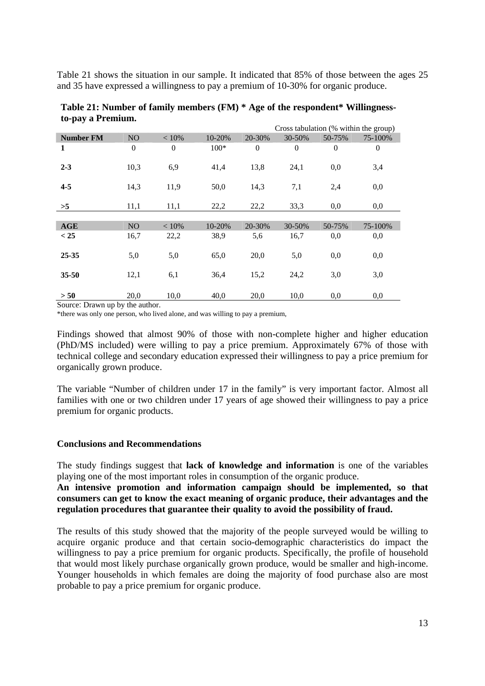Table 21 shows the situation in our sample. It indicated that 85% of those between the ages 25 and 35 have expressed a willingness to pay a premium of 10-30% for organic produce.

|                  |                  |              |        |                | Cross tabulation (% within the group) |          |              |  |
|------------------|------------------|--------------|--------|----------------|---------------------------------------|----------|--------------|--|
| <b>Number FM</b> | NO.              | $< 10\%$     | 10-20% | 20-30%         | 30-50%                                | 50-75%   | 75-100%      |  |
| 1                | $\boldsymbol{0}$ | $\mathbf{0}$ | $100*$ | $\overline{0}$ | $\mathbf{0}$                          | $\theta$ | $\mathbf{0}$ |  |
| $2 - 3$          | 10,3             | 6,9          | 41,4   | 13,8           | 24,1                                  | 0,0      | 3,4          |  |
| $4 - 5$          | 14,3             | 11,9         | 50,0   | 14,3           | 7,1                                   | 2,4      | 0,0          |  |
| >5               | 11,1             | 11,1         | 22,2   | 22,2           | 33,3                                  | 0,0      | 0,0          |  |
|                  |                  |              |        |                |                                       |          |              |  |
| <b>AGE</b>       | N <sub>O</sub>   | < 10%        | 10-20% | 20-30%         | 30-50%                                | 50-75%   | 75-100%      |  |
| < 25             | 16,7             | 22,2         | 38,9   | 5,6            | 16,7                                  | 0,0      | 0,0          |  |
|                  |                  |              |        |                |                                       |          |              |  |
| $25 - 35$        | 5,0              | 5,0          | 65,0   | 20,0           | 5,0                                   | 0,0      | 0,0          |  |
|                  |                  |              |        |                |                                       |          |              |  |
| $35 - 50$        | 12,1             | 6,1          | 36,4   | 15,2           | 24,2                                  | 3,0      | 3,0          |  |
|                  |                  |              |        |                |                                       |          |              |  |
| > 50             | 20,0             | 10,0         | 40,0   | 20,0           | 10,0                                  | 0,0      | 0,0          |  |

**Table 21: Number of family members (FM) \* Age of the respondent\* Willingnessto-pay a Premium.** 

Source: Drawn up by the author.<br>\*there was only one person, who lived alone, and was willing to pay a premium,

Findings showed that almost 90% of those with non-complete higher and higher education (PhD/MS included) were willing to pay a price premium. Approximately 67% of those with technical college and secondary education expressed their willingness to pay a price premium for organically grown produce.

The variable "Number of children under 17 in the family" is very important factor. Almost all families with one or two children under 17 years of age showed their willingness to pay a price premium for organic products.

## **Conclusions and Recommendations**

The study findings suggest that **lack of knowledge and information** is one of the variables playing one of the most important roles in consumption of the organic produce.

**An intensive promotion and information campaign should be implemented, so that consumers can get to know the exact meaning of organic produce, their advantages and the regulation procedures that guarantee their quality to avoid the possibility of fraud.** 

The results of this study showed that the majority of the people surveyed would be willing to acquire organic produce and that certain socio-demographic characteristics do impact the willingness to pay a price premium for organic products. Specifically, the profile of household that would most likely purchase organically grown produce, would be smaller and high-income. Younger households in which females are doing the majority of food purchase also are most probable to pay a price premium for organic produce.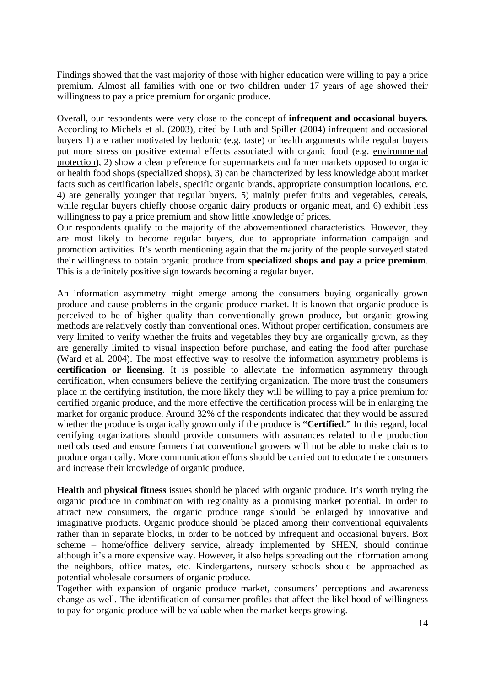Findings showed that the vast majority of those with higher education were willing to pay a price premium. Almost all families with one or two children under 17 years of age showed their willingness to pay a price premium for organic produce.

Overall, our respondents were very close to the concept of **infrequent and occasional buyers**. According to Michels et al. (2003), cited by Luth and Spiller (2004) infrequent and occasional buyers 1) are rather motivated by hedonic (e.g. taste) or health arguments while regular buyers put more stress on positive external effects associated with organic food (e.g. environmental protection), 2) show a clear preference for supermarkets and farmer markets opposed to organic or health food shops (specialized shops), 3) can be characterized by less knowledge about market facts such as certification labels, specific organic brands, appropriate consumption locations, etc. 4) are generally younger that regular buyers, 5) mainly prefer fruits and vegetables, cereals, while regular buyers chiefly choose organic dairy products or organic meat, and 6) exhibit less willingness to pay a price premium and show little knowledge of prices.

Our respondents qualify to the majority of the abovementioned characteristics. However, they are most likely to become regular buyers, due to appropriate information campaign and promotion activities. It's worth mentioning again that the majority of the people surveyed stated their willingness to obtain organic produce from **specialized shops and pay a price premium**. This is a definitely positive sign towards becoming a regular buyer.

An information asymmetry might emerge among the consumers buying organically grown produce and cause problems in the organic produce market. It is known that organic produce is perceived to be of higher quality than conventionally grown produce, but organic growing methods are relatively costly than conventional ones. Without proper certification, consumers are very limited to verify whether the fruits and vegetables they buy are organically grown, as they are generally limited to visual inspection before purchase, and eating the food after purchase (Ward et al. 2004). The most effective way to resolve the information asymmetry problems is **certification or licensing**. It is possible to alleviate the information asymmetry through certification, when consumers believe the certifying organization. The more trust the consumers place in the certifying institution, the more likely they will be willing to pay a price premium for certified organic produce, and the more effective the certification process will be in enlarging the market for organic produce. Around 32% of the respondents indicated that they would be assured whether the produce is organically grown only if the produce is **"Certified."** In this regard, local certifying organizations should provide consumers with assurances related to the production methods used and ensure farmers that conventional growers will not be able to make claims to produce organically. More communication efforts should be carried out to educate the consumers and increase their knowledge of organic produce.

**Health** and **physical fitness** issues should be placed with organic produce. It's worth trying the organic produce in combination with regionality as a promising market potential. In order to attract new consumers, the organic produce range should be enlarged by innovative and imaginative products. Organic produce should be placed among their conventional equivalents rather than in separate blocks, in order to be noticed by infrequent and occasional buyers. Box scheme – home/office delivery service, already implemented by SHEN, should continue although it's a more expensive way. However, it also helps spreading out the information among the neighbors, office mates, etc. Kindergartens, nursery schools should be approached as potential wholesale consumers of organic produce.

Together with expansion of organic produce market, consumers' perceptions and awareness change as well. The identification of consumer profiles that affect the likelihood of willingness to pay for organic produce will be valuable when the market keeps growing.